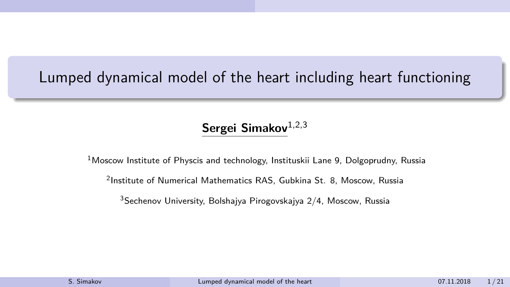# <span id="page-0-0"></span>Lumped dynamical model of the heart including heart functioning

#### Sergei Simakov<sup>1,2,3</sup>

 $1$ Moscow Institute of Physcis and technology, Instituskii Lane 9, Dolgoprudny, Russia

2 Institute of Numerical Mathematics RAS, Gubkina St. 8, Moscow, Russia

 $3$ Sechenov University, Bolshajya Pirogovskajya 2/4, Moscow, Russia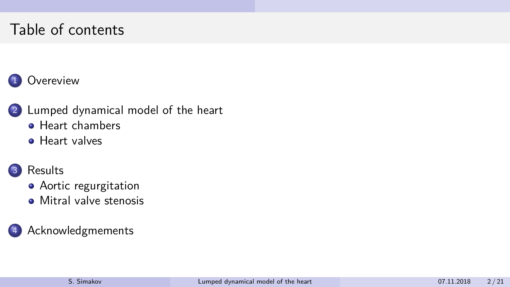# Table of contents

#### 1 [Overeview](#page-2-0)

- 2 [Lumped dynamical model of the heart](#page-4-0)
	- **[Heart chambers](#page-4-0)**
	- **•** [Heart valves](#page-8-0)

#### 3 [Results](#page-12-0)

- [Aortic regurgitation](#page-12-0)
- **•** [Mitral valve stenosis](#page-15-0)

#### **[Acknowledgmements](#page-19-0)**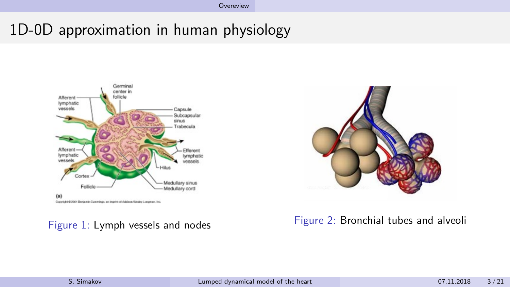# <span id="page-2-0"></span>1D-0D approximation in human physiology



Doppfight @ 2001 Benjamin Curemings, an imprint of Addison Wesley Longman, Inc.



#### Figure 1: Lymph vessels and nodes Figure 2: Bronchial tubes and alveoli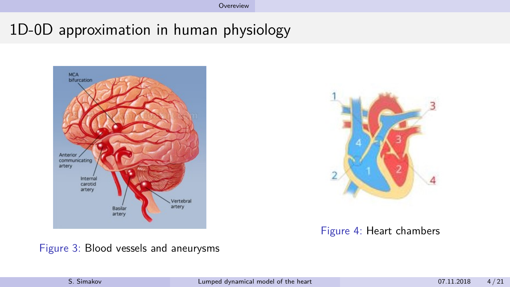[Overeview](#page-2-0)

# 1D-0D approximation in human physiology





#### Figure 4: Heart chambers

Figure 3: Blood vessels and aneurysms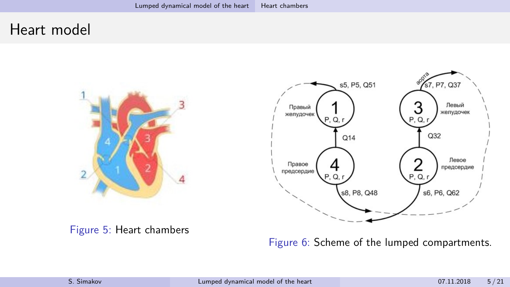#### <span id="page-4-0"></span>Heart model





Figure 5: Heart chambers

Figure 6: Scheme of the lumped compartments.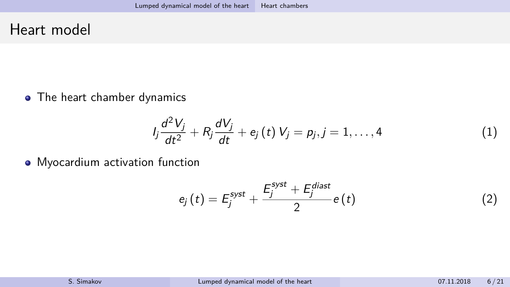#### Heart model

• The heart chamber dynamics

$$
I_j \frac{d^2 V_j}{dt^2} + R_j \frac{dV_j}{dt} + e_j(t) V_j = p_j, j = 1, ..., 4
$$
 (1)

• Myocardium activation function

$$
e_j\left(t\right) = E_j^{syst} + \frac{E_j^{syst} + E_j^{d iast}}{2}e\left(t\right) \tag{2}
$$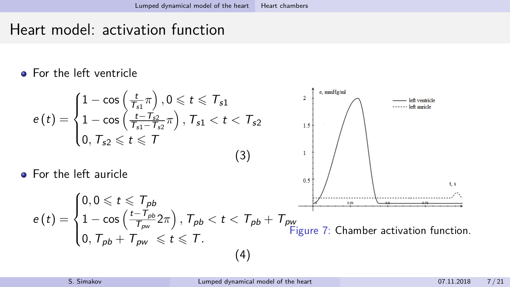# Heart model: activation function

**•** For the left ventricle

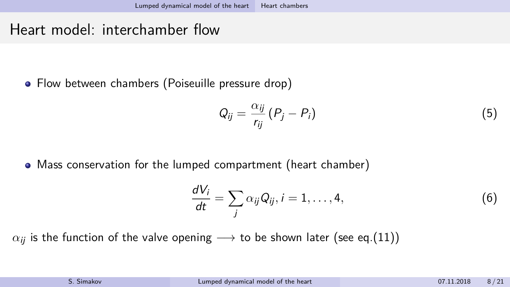# Heart model: interchamber flow

• Flow between chambers (Poiseuille pressure drop)

$$
Q_{ij} = \frac{\alpha_{ij}}{r_{ij}} (P_j - P_i)
$$
 (5)

Mass conservation for the lumped compartment (heart chamber)

$$
\frac{dV_i}{dt} = \sum_j \alpha_{ij} Q_{ij}, i = 1, \dots, 4,
$$
\n(6)

 $\alpha_{ii}$  is the function of the valve opening  $\longrightarrow$  to be shown later (see eq.[\(11\)](#page-9-0))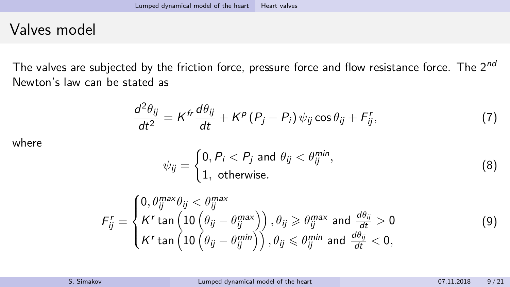# <span id="page-8-0"></span>Valves model

The valves are subjected by the friction force, pressure force and flow resistance force. The  $2^{nd}$ Newton's law can be stated as

$$
\frac{d^2\theta_{ij}}{dt^2} = K^{fr}\frac{d\theta_{ij}}{dt} + K^p (P_j - P_i) \psi_{ij} \cos \theta_{ij} + F^r_{ij},
$$
\n(7)

where

$$
\psi_{ij} = \begin{cases} 0, P_i < P_j \text{ and } \theta_{ij} < \theta_{ij}^{\min}, \\ 1, \text{ otherwise.} \end{cases} \tag{8}
$$

$$
F'_{ij} = \begin{cases} 0, \theta_{ij}^{max} \theta_{ij} < \theta_{ij}^{max} \\ K' \tan \left( 10 \left( \theta_{ij} - \theta_{ij}^{max} \right) \right), \theta_{ij} \geqslant \theta_{ij}^{max} \text{ and } \frac{d\theta_{ij}}{dt} > 0 \\ K' \tan \left( 10 \left( \theta_{ij} - \theta_{ij}^{min} \right) \right), \theta_{ij} \leqslant \theta_{ij}^{min} \text{ and } \frac{d\theta_{ij}}{dt} < 0, \end{cases} \tag{9}
$$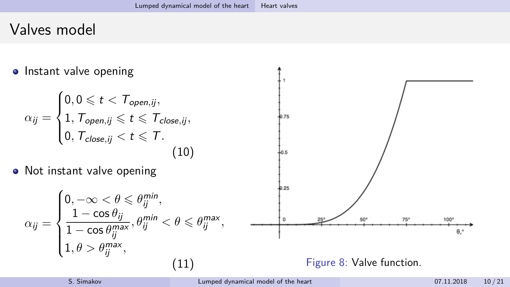# Valves model

<span id="page-9-0"></span>**o** Instant valve opening  $\sqrt{ }$  $0, 0 \leqslant t < \mathcal{T}_{open,ij},$  $\int$  $1, \mathcal{T}_{open,ij} \leqslant t \leqslant \mathcal{T}_{close,ij}$  $\alpha_{ij} =$  $h_{75}$  $\overline{\mathcal{L}}$ 0,  $T_{close,ij} < t \leq T$ . (10) • Not instant valve opening 0.25  $\sqrt{ }$  $0, -\infty < \theta \leqslant \theta_{ij}^{\min},$  $\int$  $1-\cos\theta_{ij}$  $, \theta_{ij}^{min} < \theta \leq \theta_{ij}^{max},$  $\Omega$ 75°  $\alpha_{ij} =$  $1 - \cos \theta_{ij}^{max}$  $\theta$ .  $\overline{\mathcal{L}}$  $1, \theta > \theta_{ij}^{\text{max}},$ (11) Figure 8: Valve function.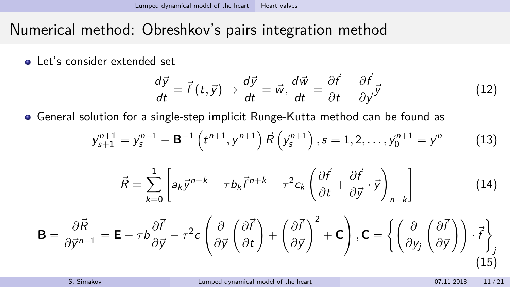# Numerical method: Obreshkov's pairs integration method

**A** Let's consider extended set

$$
\frac{d\vec{y}}{dt} = \vec{f}(t, \vec{y}) \rightarrow \frac{d\vec{y}}{dt} = \vec{w}, \frac{d\vec{w}}{dt} = \frac{\partial \vec{f}}{\partial t} + \frac{\partial \vec{f}}{\partial \vec{y}}\vec{y}
$$
(12)

General solution for a single-step implicit Runge-Kutta method can be found as

$$
\vec{y}_{s+1}^{n+1} = \vec{y}_s^{n+1} - \mathbf{B}^{-1} \left( t^{n+1}, y^{n+1} \right) \vec{R} \left( \vec{y}_s^{n+1} \right), s = 1, 2, \dots, \vec{y}_0^{n+1} = \vec{y}^n \tag{13}
$$

$$
\vec{R} = \sum_{k=0}^{1} \left[ a_k \vec{y}^{n+k} - \tau b_k \vec{f}^{n+k} - \tau^2 c_k \left( \frac{\partial \vec{f}}{\partial t} + \frac{\partial \vec{f}}{\partial \vec{y}} \cdot \vec{y} \right)_{n+k} \right]
$$
(14)

$$
\mathbf{B} = \frac{\partial \vec{R}}{\partial \vec{y}^{n+1}} = \mathbf{E} - \tau b \frac{\partial \vec{f}}{\partial \vec{y}} - \tau^2 c \left( \frac{\partial}{\partial \vec{y}} \left( \frac{\partial \vec{f}}{\partial t} \right) + \left( \frac{\partial \vec{f}}{\partial \vec{y}} \right)^2 + \mathbf{C} \right), \mathbf{C} = \left\{ \left( \frac{\partial}{\partial y_j} \left( \frac{\partial \vec{f}}{\partial \vec{y}} \right) \right) \cdot \vec{f} \right\}_{j}
$$
(15)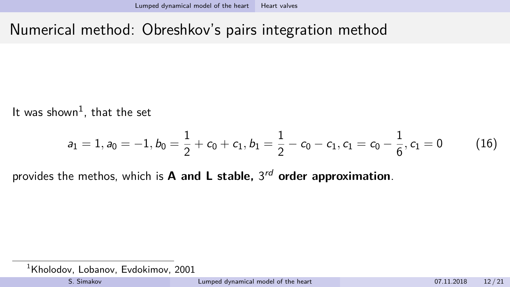# Numerical method: Obreshkov's pairs integration method

It was shown $^1$ , that the set

$$
a_1=1, a_0=-1, b_0=\frac{1}{2}+c_0+c_1, b_1=\frac{1}{2}-c_0-c_1, c_1=c_0-\frac{1}{6}, c_1=0 \qquad \quad \ \ (16)
$$

provides the methos, which is **A and L stable,** 3 rd **order approximation**.

 $1$ Kholodov, Lobanov, Evdokimov, 2001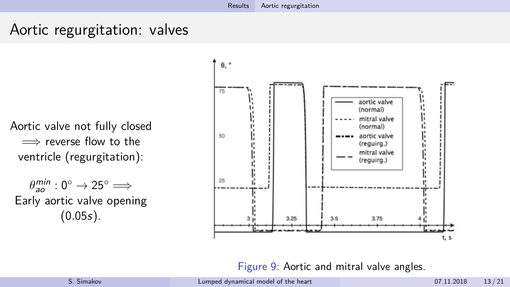### <span id="page-12-0"></span>Aortic regurgitation: valves

Aortic valve not fully closed  $\implies$  reverse flow to the ventricle (regurgitation):

 $\theta_{\mathsf{ao}}^{\mathsf{min}}:0^{\circ}\to 25^{\circ} \Longrightarrow$ Early aortic valve opening  $(0.05s)$ .



Figure 9: Aortic and mitral valve angles.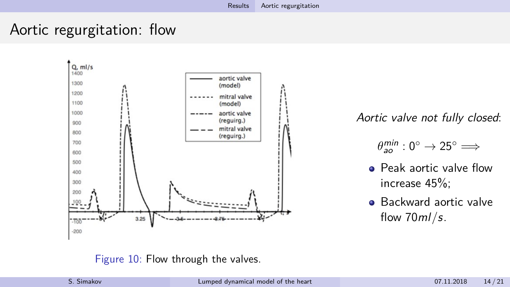## Aortic regurgitation: flow



Aortic valve not fully closed:

- $\theta_{\mathsf{ao}}^{\mathsf{min}}:0^{\circ}\to 25^{\circ} \Longrightarrow$
- **Peak aortic valve flow** increase 45%;
- **Backward aortic valve** flow 70ml*/*s.

#### Figure 10: Flow through the valves.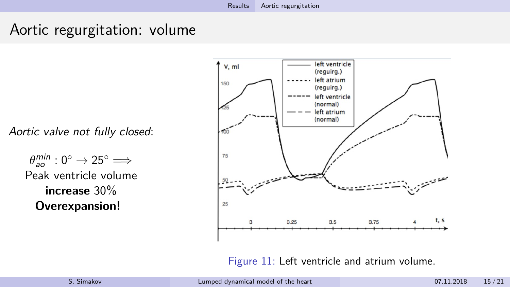### Aortic regurgitation: volume

Aortic valve not fully closed:

 $\theta_{\mathit{ao}}^{\mathit{min}}:0^{\circ} \rightarrow 25^{\circ} \Longrightarrow$ Peak ventricle volume **increase** 30% **Overexpansion!**



Figure 11: Left ventricle and atrium volume.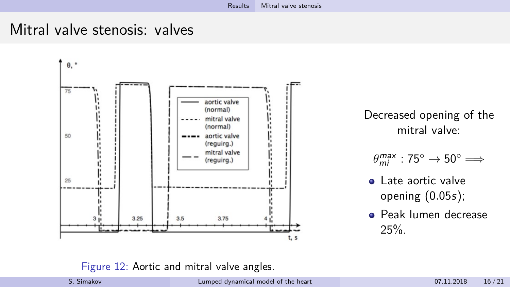#### <span id="page-15-0"></span>Mitral valve stenosis: valves



Decreased opening of the mitral valve:

- $\theta_{mi}^{max}: 75^\circ \rightarrow 50^\circ \Longrightarrow$
- **a** Late aortic valve opening (0*.*05s);
- **Peak lumen decrease** 25%.

Figure 12: Aortic and mitral valve angles.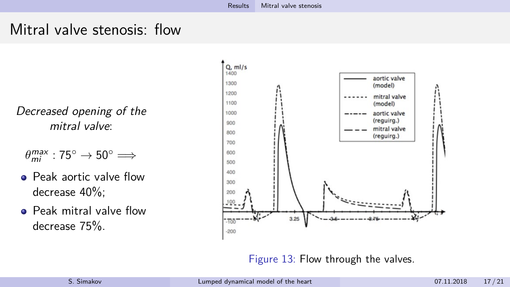### Mitral valve stenosis: flow

Decreased opening of the mitral valve:

- $\theta_{mi}^{max}:75^{\circ}\rightarrow 50^{\circ} \Longrightarrow$
- **•** Peak aortic valve flow decrease 40%;
- **•** Peak mitral valve flow decrease 75%.



Figure 13: Flow through the valves.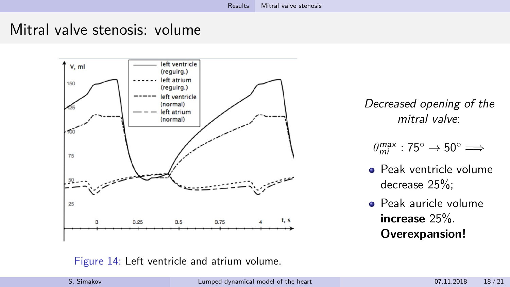#### Mitral valve stenosis: volume



Decreased opening of the mitral valve:

 $\theta_{mi}^{max}:75^{\circ}\rightarrow 50^{\circ} \Longrightarrow$ 

- Peak ventricle volume decrease 25%;
- Peak auricle volume **increase** 25%. **Overexpansion!**

#### Figure 14: Left ventricle and atrium volume.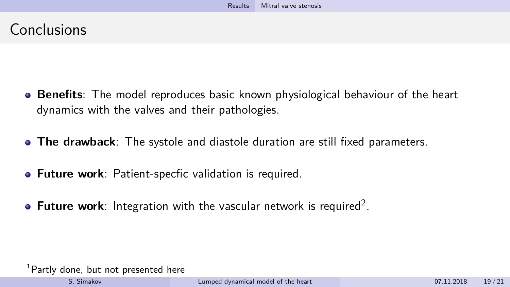## Conclusions

- **Benefits**: The model reproduces basic known physiological behaviour of the heart dynamics with the valves and their pathologies.
- **The drawback**: The systole and diastole duration are still fixed parameters.
- **Future work**: Patient-specfic validation is required.
- Future work: Integration with the vascular network is required<sup>2</sup>.

<sup>&</sup>lt;sup>1</sup>Partly done, but not presented here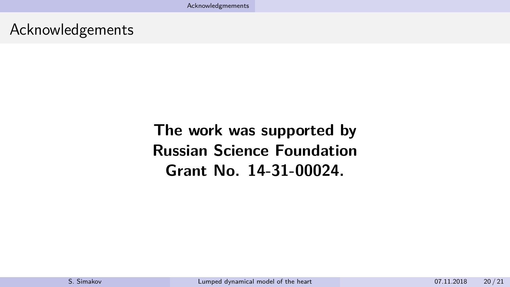<span id="page-19-0"></span>Acknowledgements

**The work was supported by Russian Science Foundation Grant No. 14-31-00024.**